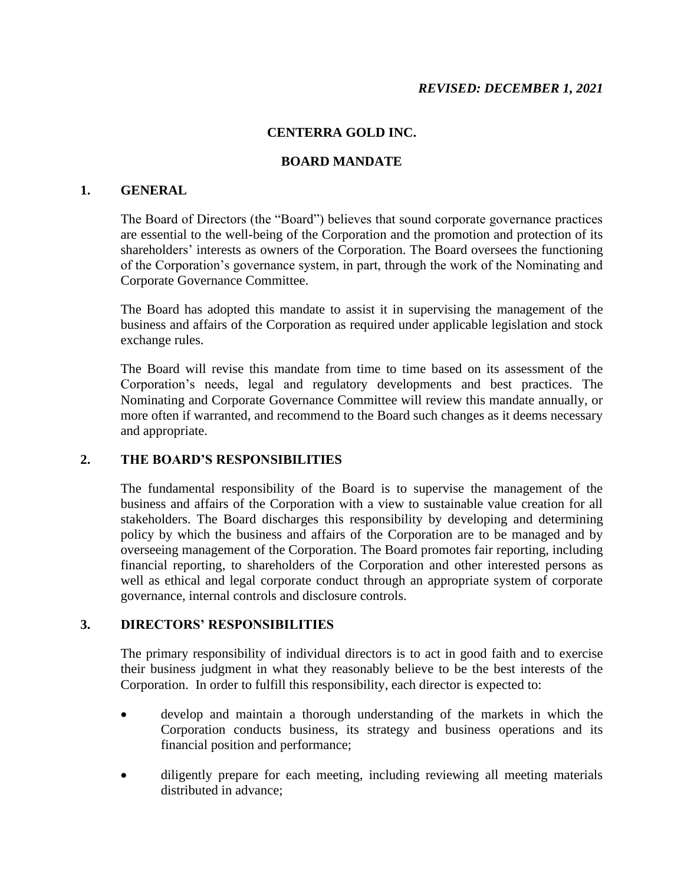## **CENTERRA GOLD INC.**

## **BOARD MANDATE**

### **1. GENERAL**

The Board of Directors (the "Board") believes that sound corporate governance practices are essential to the well-being of the Corporation and the promotion and protection of its shareholders' interests as owners of the Corporation. The Board oversees the functioning of the Corporation's governance system, in part, through the work of the Nominating and Corporate Governance Committee.

The Board has adopted this mandate to assist it in supervising the management of the business and affairs of the Corporation as required under applicable legislation and stock exchange rules.

The Board will revise this mandate from time to time based on its assessment of the Corporation's needs, legal and regulatory developments and best practices. The Nominating and Corporate Governance Committee will review this mandate annually, or more often if warranted, and recommend to the Board such changes as it deems necessary and appropriate.

## **2. THE BOARD'S RESPONSIBILITIES**

The fundamental responsibility of the Board is to supervise the management of the business and affairs of the Corporation with a view to sustainable value creation for all stakeholders. The Board discharges this responsibility by developing and determining policy by which the business and affairs of the Corporation are to be managed and by overseeing management of the Corporation. The Board promotes fair reporting, including financial reporting, to shareholders of the Corporation and other interested persons as well as ethical and legal corporate conduct through an appropriate system of corporate governance, internal controls and disclosure controls.

## **3. DIRECTORS' RESPONSIBILITIES**

The primary responsibility of individual directors is to act in good faith and to exercise their business judgment in what they reasonably believe to be the best interests of the Corporation. In order to fulfill this responsibility, each director is expected to:

- develop and maintain a thorough understanding of the markets in which the Corporation conducts business, its strategy and business operations and its financial position and performance;
- diligently prepare for each meeting, including reviewing all meeting materials distributed in advance;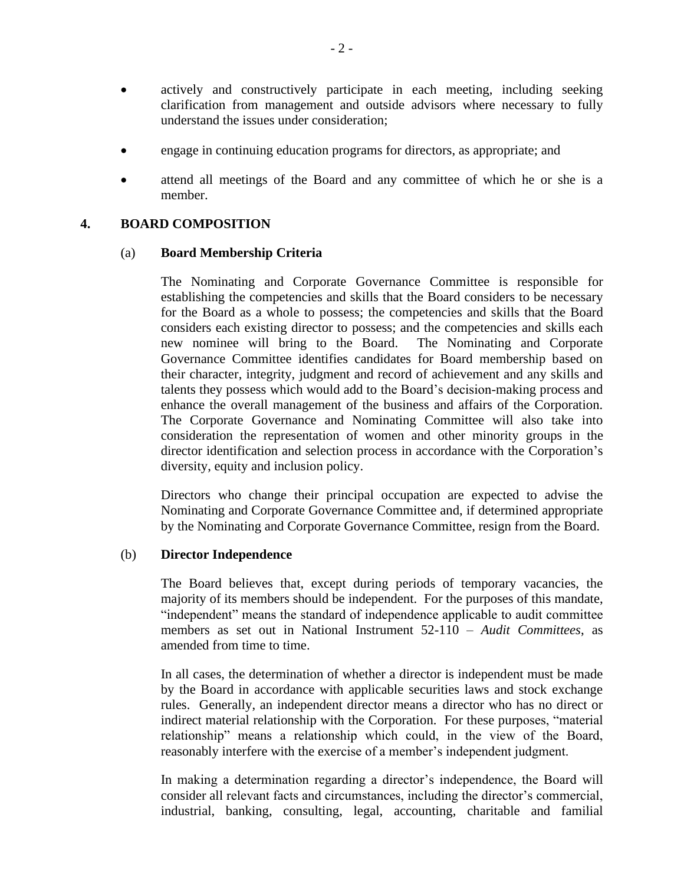- actively and constructively participate in each meeting, including seeking clarification from management and outside advisors where necessary to fully understand the issues under consideration;
- engage in continuing education programs for directors, as appropriate; and
- attend all meetings of the Board and any committee of which he or she is a member.

## **4. BOARD COMPOSITION**

#### (a) **Board Membership Criteria**

The Nominating and Corporate Governance Committee is responsible for establishing the competencies and skills that the Board considers to be necessary for the Board as a whole to possess; the competencies and skills that the Board considers each existing director to possess; and the competencies and skills each new nominee will bring to the Board. The Nominating and Corporate Governance Committee identifies candidates for Board membership based on their character, integrity, judgment and record of achievement and any skills and talents they possess which would add to the Board's decision-making process and enhance the overall management of the business and affairs of the Corporation. The Corporate Governance and Nominating Committee will also take into consideration the representation of women and other minority groups in the director identification and selection process in accordance with the Corporation's diversity, equity and inclusion policy.

Directors who change their principal occupation are expected to advise the Nominating and Corporate Governance Committee and, if determined appropriate by the Nominating and Corporate Governance Committee, resign from the Board.

#### (b) **Director Independence**

The Board believes that, except during periods of temporary vacancies, the majority of its members should be independent. For the purposes of this mandate, "independent" means the standard of independence applicable to audit committee members as set out in National Instrument 52-110 – *Audit Committees*, as amended from time to time.

In all cases, the determination of whether a director is independent must be made by the Board in accordance with applicable securities laws and stock exchange rules. Generally, an independent director means a director who has no direct or indirect material relationship with the Corporation. For these purposes, "material relationship" means a relationship which could, in the view of the Board, reasonably interfere with the exercise of a member's independent judgment.

In making a determination regarding a director's independence, the Board will consider all relevant facts and circumstances, including the director's commercial, industrial, banking, consulting, legal, accounting, charitable and familial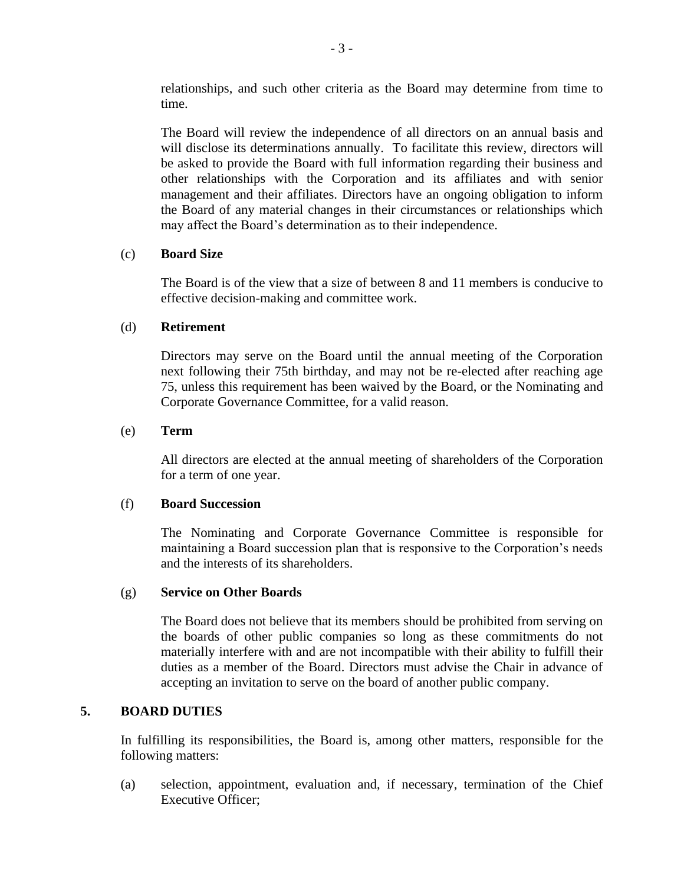relationships, and such other criteria as the Board may determine from time to time.

The Board will review the independence of all directors on an annual basis and will disclose its determinations annually. To facilitate this review, directors will be asked to provide the Board with full information regarding their business and other relationships with the Corporation and its affiliates and with senior management and their affiliates. Directors have an ongoing obligation to inform the Board of any material changes in their circumstances or relationships which may affect the Board's determination as to their independence.

## (c) **Board Size**

The Board is of the view that a size of between 8 and 11 members is conducive to effective decision-making and committee work.

## (d) **Retirement**

Directors may serve on the Board until the annual meeting of the Corporation next following their 75th birthday, and may not be re-elected after reaching age 75, unless this requirement has been waived by the Board, or the Nominating and Corporate Governance Committee, for a valid reason.

## (e) **Term**

All directors are elected at the annual meeting of shareholders of the Corporation for a term of one year.

## (f) **Board Succession**

The Nominating and Corporate Governance Committee is responsible for maintaining a Board succession plan that is responsive to the Corporation's needs and the interests of its shareholders.

## (g) **Service on Other Boards**

The Board does not believe that its members should be prohibited from serving on the boards of other public companies so long as these commitments do not materially interfere with and are not incompatible with their ability to fulfill their duties as a member of the Board. Directors must advise the Chair in advance of accepting an invitation to serve on the board of another public company.

# **5. BOARD DUTIES**

In fulfilling its responsibilities, the Board is, among other matters, responsible for the following matters:

(a) selection, appointment, evaluation and, if necessary, termination of the Chief Executive Officer;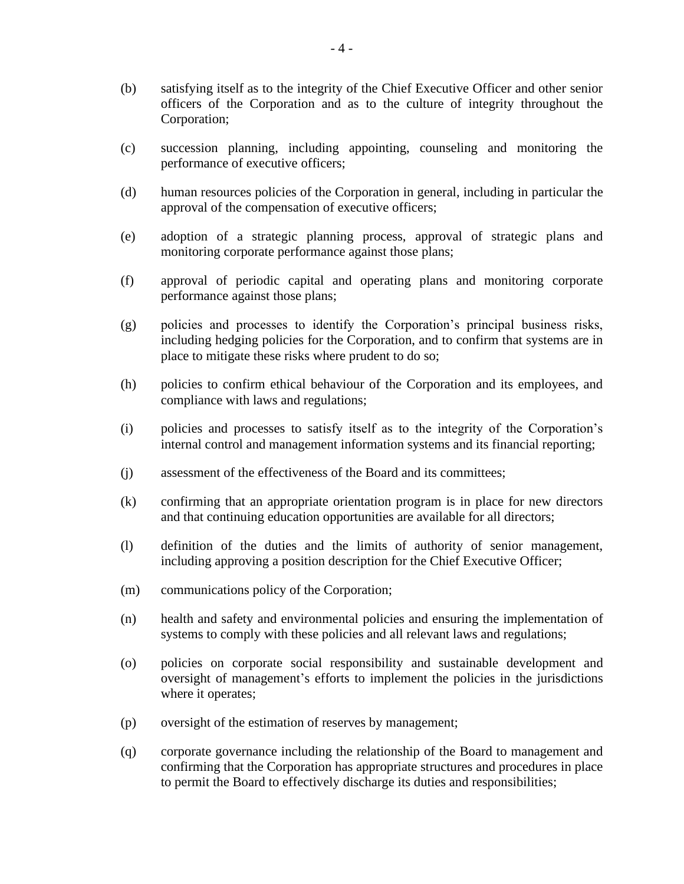- (b) satisfying itself as to the integrity of the Chief Executive Officer and other senior officers of the Corporation and as to the culture of integrity throughout the Corporation;
- (c) succession planning, including appointing, counseling and monitoring the performance of executive officers;
- (d) human resources policies of the Corporation in general, including in particular the approval of the compensation of executive officers;
- (e) adoption of a strategic planning process, approval of strategic plans and monitoring corporate performance against those plans;
- (f) approval of periodic capital and operating plans and monitoring corporate performance against those plans;
- (g) policies and processes to identify the Corporation's principal business risks, including hedging policies for the Corporation, and to confirm that systems are in place to mitigate these risks where prudent to do so;
- (h) policies to confirm ethical behaviour of the Corporation and its employees, and compliance with laws and regulations;
- (i) policies and processes to satisfy itself as to the integrity of the Corporation's internal control and management information systems and its financial reporting;
- (j) assessment of the effectiveness of the Board and its committees;
- (k) confirming that an appropriate orientation program is in place for new directors and that continuing education opportunities are available for all directors;
- (l) definition of the duties and the limits of authority of senior management, including approving a position description for the Chief Executive Officer;
- (m) communications policy of the Corporation;
- (n) health and safety and environmental policies and ensuring the implementation of systems to comply with these policies and all relevant laws and regulations;
- (o) policies on corporate social responsibility and sustainable development and oversight of management's efforts to implement the policies in the jurisdictions where it operates;
- (p) oversight of the estimation of reserves by management;
- (q) corporate governance including the relationship of the Board to management and confirming that the Corporation has appropriate structures and procedures in place to permit the Board to effectively discharge its duties and responsibilities;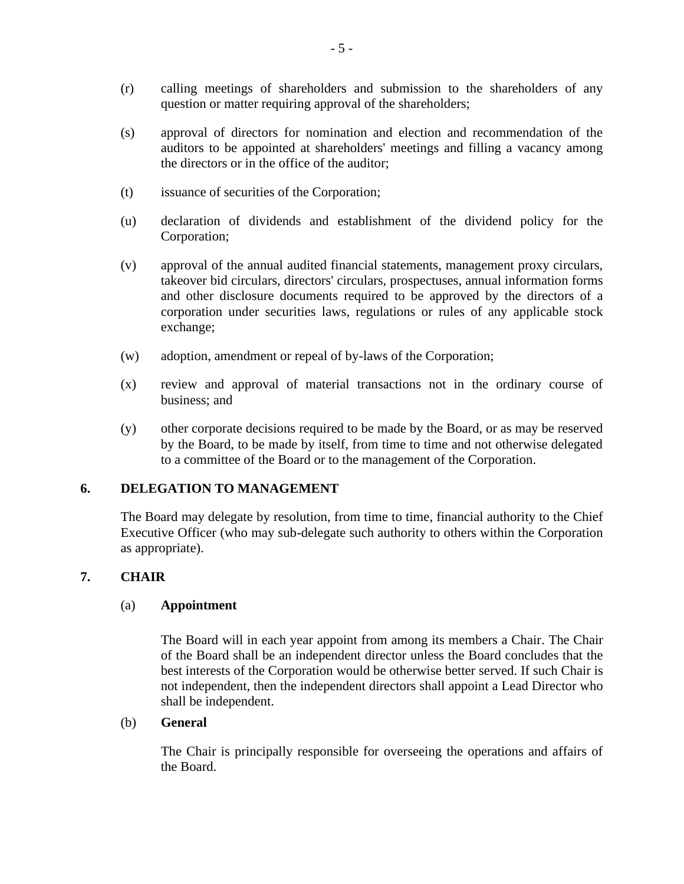- (r) calling meetings of shareholders and submission to the shareholders of any question or matter requiring approval of the shareholders;
- (s) approval of directors for nomination and election and recommendation of the auditors to be appointed at shareholders' meetings and filling a vacancy among the directors or in the office of the auditor;
- (t) issuance of securities of the Corporation;
- (u) declaration of dividends and establishment of the dividend policy for the Corporation;
- (v) approval of the annual audited financial statements, management proxy circulars, takeover bid circulars, directors' circulars, prospectuses, annual information forms and other disclosure documents required to be approved by the directors of a corporation under securities laws, regulations or rules of any applicable stock exchange;
- (w) adoption, amendment or repeal of by-laws of the Corporation;
- (x) review and approval of material transactions not in the ordinary course of business; and
- (y) other corporate decisions required to be made by the Board, or as may be reserved by the Board, to be made by itself, from time to time and not otherwise delegated to a committee of the Board or to the management of the Corporation.

## **6. DELEGATION TO MANAGEMENT**

The Board may delegate by resolution, from time to time, financial authority to the Chief Executive Officer (who may sub-delegate such authority to others within the Corporation as appropriate).

## **7. CHAIR**

#### (a) **Appointment**

The Board will in each year appoint from among its members a Chair. The Chair of the Board shall be an independent director unless the Board concludes that the best interests of the Corporation would be otherwise better served. If such Chair is not independent, then the independent directors shall appoint a Lead Director who shall be independent.

#### (b) **General**

The Chair is principally responsible for overseeing the operations and affairs of the Board.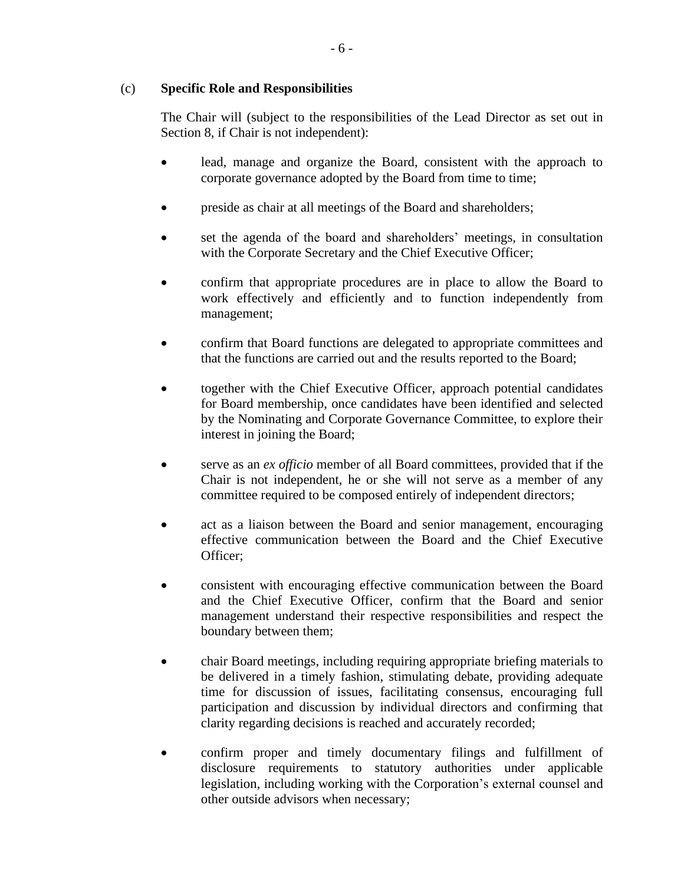## (c) **Specific Role and Responsibilities**

The Chair will (subject to the responsibilities of the Lead Director as set out in Section 8, if Chair is not independent):

- lead, manage and organize the Board, consistent with the approach to corporate governance adopted by the Board from time to time;
- preside as chair at all meetings of the Board and shareholders;
- set the agenda of the board and shareholders' meetings, in consultation with the Corporate Secretary and the Chief Executive Officer;
- confirm that appropriate procedures are in place to allow the Board to work effectively and efficiently and to function independently from management;
- confirm that Board functions are delegated to appropriate committees and that the functions are carried out and the results reported to the Board;
- together with the Chief Executive Officer, approach potential candidates for Board membership, once candidates have been identified and selected by the Nominating and Corporate Governance Committee, to explore their interest in joining the Board;
- serve as an *ex officio* member of all Board committees, provided that if the Chair is not independent, he or she will not serve as a member of any committee required to be composed entirely of independent directors;
- act as a liaison between the Board and senior management, encouraging effective communication between the Board and the Chief Executive Officer;
- consistent with encouraging effective communication between the Board and the Chief Executive Officer, confirm that the Board and senior management understand their respective responsibilities and respect the boundary between them;
- chair Board meetings, including requiring appropriate briefing materials to be delivered in a timely fashion, stimulating debate, providing adequate time for discussion of issues, facilitating consensus, encouraging full participation and discussion by individual directors and confirming that clarity regarding decisions is reached and accurately recorded;
- confirm proper and timely documentary filings and fulfillment of disclosure requirements to statutory authorities under applicable legislation, including working with the Corporation's external counsel and other outside advisors when necessary;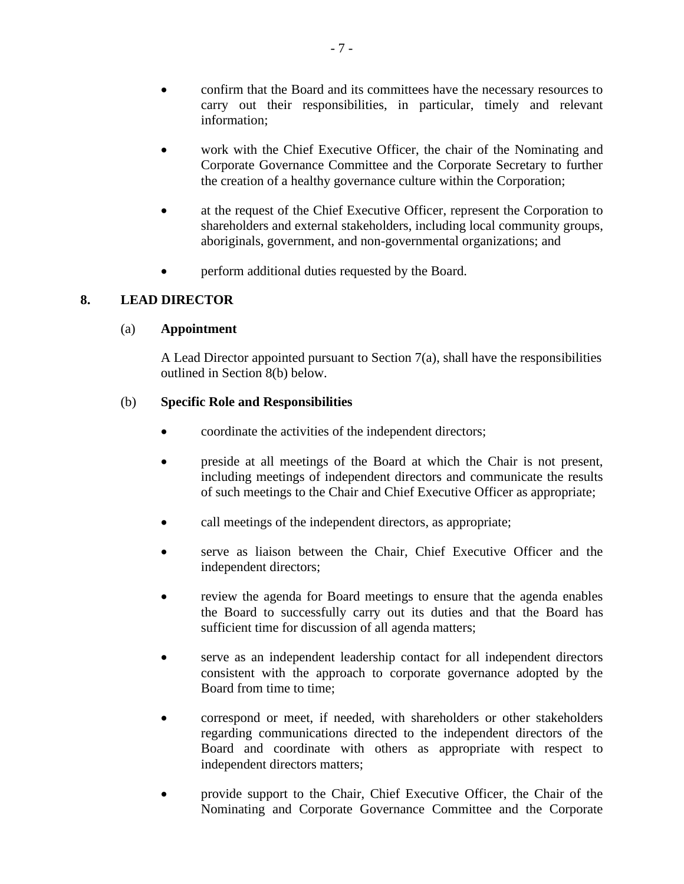- confirm that the Board and its committees have the necessary resources to carry out their responsibilities, in particular, timely and relevant information;
- work with the Chief Executive Officer, the chair of the Nominating and Corporate Governance Committee and the Corporate Secretary to further the creation of a healthy governance culture within the Corporation;
- at the request of the Chief Executive Officer, represent the Corporation to shareholders and external stakeholders, including local community groups, aboriginals, government, and non-governmental organizations; and
- perform additional duties requested by the Board.

# **8. LEAD DIRECTOR**

## (a) **Appointment**

A Lead Director appointed pursuant to Section 7(a), shall have the responsibilities outlined in Section 8(b) below.

## (b) **Specific Role and Responsibilities**

- coordinate the activities of the independent directors;
- preside at all meetings of the Board at which the Chair is not present, including meetings of independent directors and communicate the results of such meetings to the Chair and Chief Executive Officer as appropriate;
- call meetings of the independent directors, as appropriate;
- serve as liaison between the Chair, Chief Executive Officer and the independent directors;
- review the agenda for Board meetings to ensure that the agenda enables the Board to successfully carry out its duties and that the Board has sufficient time for discussion of all agenda matters;
- serve as an independent leadership contact for all independent directors consistent with the approach to corporate governance adopted by the Board from time to time;
- correspond or meet, if needed, with shareholders or other stakeholders regarding communications directed to the independent directors of the Board and coordinate with others as appropriate with respect to independent directors matters;
- provide support to the Chair, Chief Executive Officer, the Chair of the Nominating and Corporate Governance Committee and the Corporate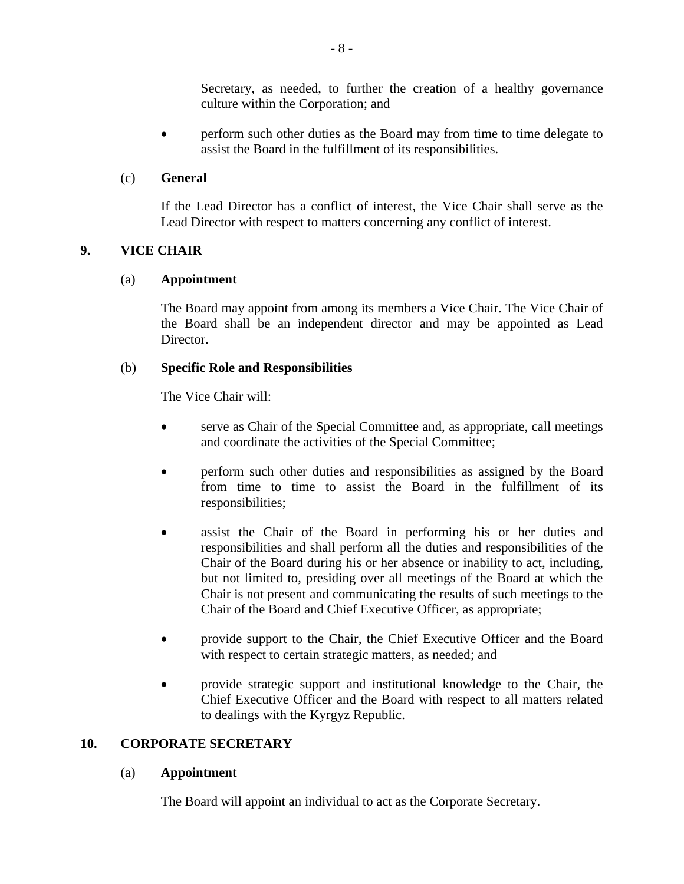Secretary, as needed, to further the creation of a healthy governance culture within the Corporation; and

• perform such other duties as the Board may from time to time delegate to assist the Board in the fulfillment of its responsibilities.

## (c) **General**

If the Lead Director has a conflict of interest, the Vice Chair shall serve as the Lead Director with respect to matters concerning any conflict of interest.

# **9. VICE CHAIR**

## (a) **Appointment**

The Board may appoint from among its members a Vice Chair. The Vice Chair of the Board shall be an independent director and may be appointed as Lead Director.

## (b) **Specific Role and Responsibilities**

The Vice Chair will:

- serve as Chair of the Special Committee and, as appropriate, call meetings and coordinate the activities of the Special Committee;
- perform such other duties and responsibilities as assigned by the Board from time to time to assist the Board in the fulfillment of its responsibilities;
- assist the Chair of the Board in performing his or her duties and responsibilities and shall perform all the duties and responsibilities of the Chair of the Board during his or her absence or inability to act, including, but not limited to, presiding over all meetings of the Board at which the Chair is not present and communicating the results of such meetings to the Chair of the Board and Chief Executive Officer, as appropriate;
- provide support to the Chair, the Chief Executive Officer and the Board with respect to certain strategic matters, as needed; and
- provide strategic support and institutional knowledge to the Chair, the Chief Executive Officer and the Board with respect to all matters related to dealings with the Kyrgyz Republic.

## **10. CORPORATE SECRETARY**

## (a) **Appointment**

The Board will appoint an individual to act as the Corporate Secretary.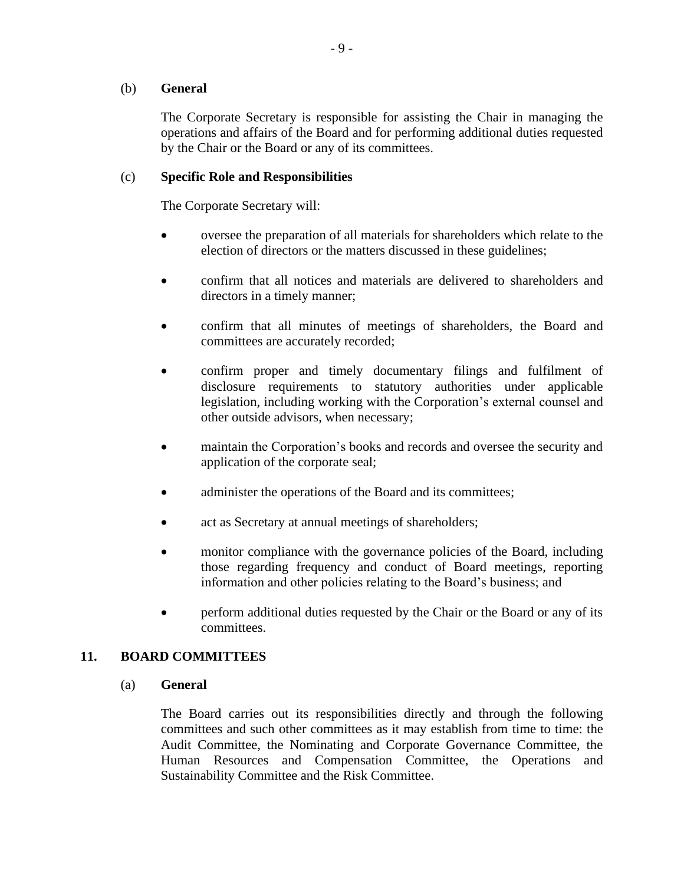## (b) **General**

The Corporate Secretary is responsible for assisting the Chair in managing the operations and affairs of the Board and for performing additional duties requested by the Chair or the Board or any of its committees.

## (c) **Specific Role and Responsibilities**

The Corporate Secretary will:

- oversee the preparation of all materials for shareholders which relate to the election of directors or the matters discussed in these guidelines;
- confirm that all notices and materials are delivered to shareholders and directors in a timely manner;
- confirm that all minutes of meetings of shareholders, the Board and committees are accurately recorded;
- confirm proper and timely documentary filings and fulfilment of disclosure requirements to statutory authorities under applicable legislation, including working with the Corporation's external counsel and other outside advisors, when necessary;
- maintain the Corporation's books and records and oversee the security and application of the corporate seal;
- administer the operations of the Board and its committees;
- act as Secretary at annual meetings of shareholders;
- monitor compliance with the governance policies of the Board, including those regarding frequency and conduct of Board meetings, reporting information and other policies relating to the Board's business; and
- perform additional duties requested by the Chair or the Board or any of its committees.

## **11. BOARD COMMITTEES**

## (a) **General**

The Board carries out its responsibilities directly and through the following committees and such other committees as it may establish from time to time: the Audit Committee, the Nominating and Corporate Governance Committee, the Human Resources and Compensation Committee, the Operations and Sustainability Committee and the Risk Committee.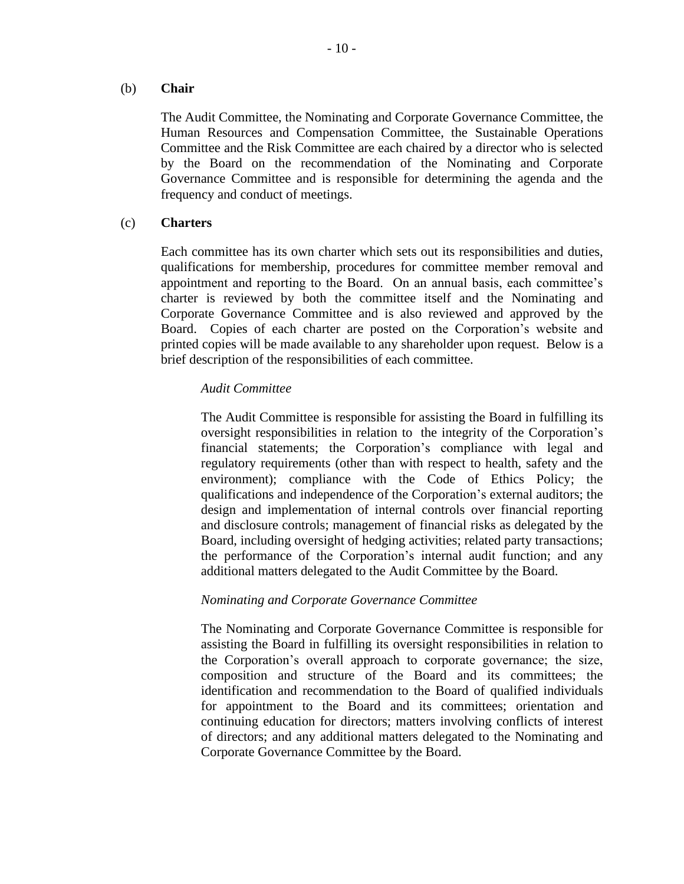#### (b) **Chair**

The Audit Committee, the Nominating and Corporate Governance Committee, the Human Resources and Compensation Committee, the Sustainable Operations Committee and the Risk Committee are each chaired by a director who is selected by the Board on the recommendation of the Nominating and Corporate Governance Committee and is responsible for determining the agenda and the frequency and conduct of meetings.

## (c) **Charters**

Each committee has its own charter which sets out its responsibilities and duties, qualifications for membership, procedures for committee member removal and appointment and reporting to the Board. On an annual basis, each committee's charter is reviewed by both the committee itself and the Nominating and Corporate Governance Committee and is also reviewed and approved by the Board. Copies of each charter are posted on the Corporation's website and printed copies will be made available to any shareholder upon request. Below is a brief description of the responsibilities of each committee.

### *Audit Committee*

The Audit Committee is responsible for assisting the Board in fulfilling its oversight responsibilities in relation to the integrity of the Corporation's financial statements; the Corporation's compliance with legal and regulatory requirements (other than with respect to health, safety and the environment); compliance with the Code of Ethics Policy; the qualifications and independence of the Corporation's external auditors; the design and implementation of internal controls over financial reporting and disclosure controls; management of financial risks as delegated by the Board, including oversight of hedging activities; related party transactions; the performance of the Corporation's internal audit function; and any additional matters delegated to the Audit Committee by the Board.

## *Nominating and Corporate Governance Committee*

The Nominating and Corporate Governance Committee is responsible for assisting the Board in fulfilling its oversight responsibilities in relation to the Corporation's overall approach to corporate governance; the size, composition and structure of the Board and its committees; the identification and recommendation to the Board of qualified individuals for appointment to the Board and its committees; orientation and continuing education for directors; matters involving conflicts of interest of directors; and any additional matters delegated to the Nominating and Corporate Governance Committee by the Board.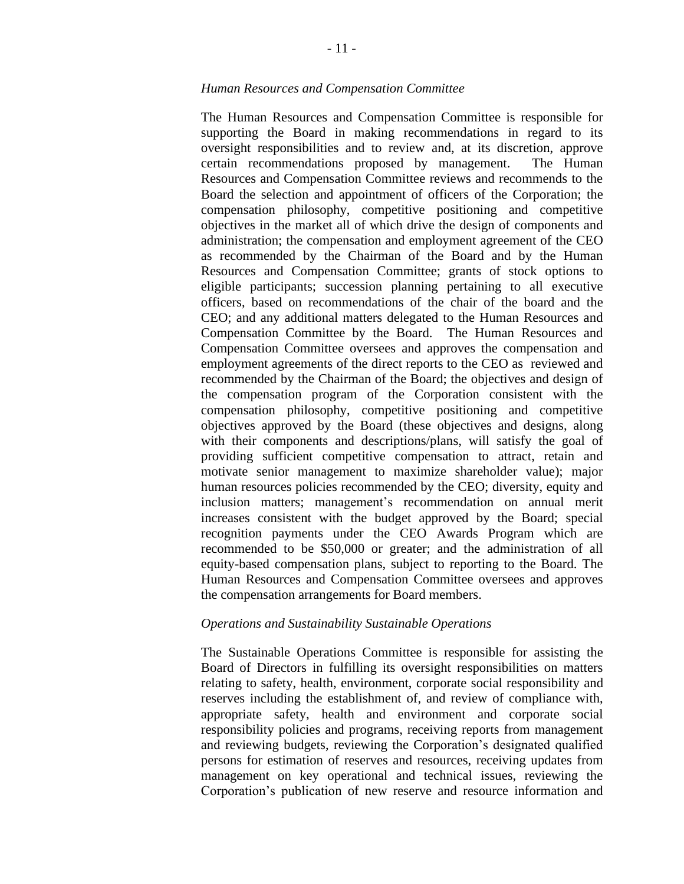#### *Human Resources and Compensation Committee*

The Human Resources and Compensation Committee is responsible for supporting the Board in making recommendations in regard to its oversight responsibilities and to review and, at its discretion, approve certain recommendations proposed by management. The Human Resources and Compensation Committee reviews and recommends to the Board the selection and appointment of officers of the Corporation; the compensation philosophy, competitive positioning and competitive objectives in the market all of which drive the design of components and administration; the compensation and employment agreement of the CEO as recommended by the Chairman of the Board and by the Human Resources and Compensation Committee; grants of stock options to eligible participants; succession planning pertaining to all executive officers, based on recommendations of the chair of the board and the CEO; and any additional matters delegated to the Human Resources and Compensation Committee by the Board. The Human Resources and Compensation Committee oversees and approves the compensation and employment agreements of the direct reports to the CEO as reviewed and recommended by the Chairman of the Board; the objectives and design of the compensation program of the Corporation consistent with the compensation philosophy, competitive positioning and competitive objectives approved by the Board (these objectives and designs, along with their components and descriptions/plans, will satisfy the goal of providing sufficient competitive compensation to attract, retain and motivate senior management to maximize shareholder value); major human resources policies recommended by the CEO; diversity, equity and inclusion matters; management's recommendation on annual merit increases consistent with the budget approved by the Board; special recognition payments under the CEO Awards Program which are recommended to be \$50,000 or greater; and the administration of all equity-based compensation plans, subject to reporting to the Board. The Human Resources and Compensation Committee oversees and approves the compensation arrangements for Board members.

#### *Operations and Sustainability Sustainable Operations*

The Sustainable Operations Committee is responsible for assisting the Board of Directors in fulfilling its oversight responsibilities on matters relating to safety, health, environment, corporate social responsibility and reserves including the establishment of, and review of compliance with, appropriate safety, health and environment and corporate social responsibility policies and programs, receiving reports from management and reviewing budgets, reviewing the Corporation's designated qualified persons for estimation of reserves and resources, receiving updates from management on key operational and technical issues, reviewing the Corporation's publication of new reserve and resource information and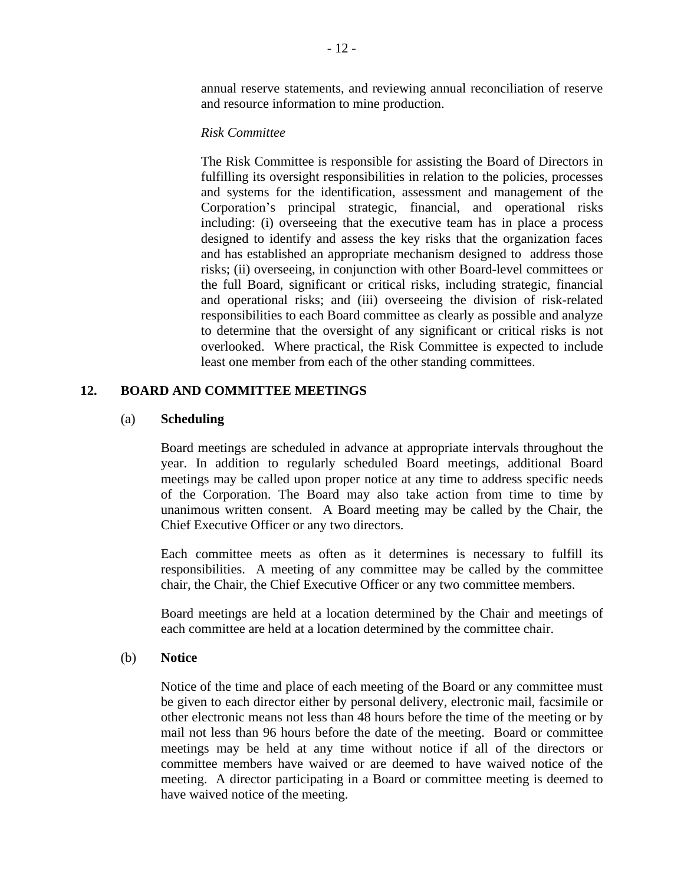annual reserve statements, and reviewing annual reconciliation of reserve and resource information to mine production.

#### *Risk Committee*

The Risk Committee is responsible for assisting the Board of Directors in fulfilling its oversight responsibilities in relation to the policies, processes and systems for the identification, assessment and management of the Corporation's principal strategic, financial, and operational risks including: (i) overseeing that the executive team has in place a process designed to identify and assess the key risks that the organization faces and has established an appropriate mechanism designed to address those risks; (ii) overseeing, in conjunction with other Board-level committees or the full Board, significant or critical risks, including strategic, financial and operational risks; and (iii) overseeing the division of risk-related responsibilities to each Board committee as clearly as possible and analyze to determine that the oversight of any significant or critical risks is not overlooked. Where practical, the Risk Committee is expected to include least one member from each of the other standing committees.

### **12. BOARD AND COMMITTEE MEETINGS**

#### (a) **Scheduling**

Board meetings are scheduled in advance at appropriate intervals throughout the year. In addition to regularly scheduled Board meetings, additional Board meetings may be called upon proper notice at any time to address specific needs of the Corporation. The Board may also take action from time to time by unanimous written consent. A Board meeting may be called by the Chair, the Chief Executive Officer or any two directors.

Each committee meets as often as it determines is necessary to fulfill its responsibilities. A meeting of any committee may be called by the committee chair, the Chair, the Chief Executive Officer or any two committee members.

Board meetings are held at a location determined by the Chair and meetings of each committee are held at a location determined by the committee chair.

#### (b) **Notice**

Notice of the time and place of each meeting of the Board or any committee must be given to each director either by personal delivery, electronic mail, facsimile or other electronic means not less than 48 hours before the time of the meeting or by mail not less than 96 hours before the date of the meeting. Board or committee meetings may be held at any time without notice if all of the directors or committee members have waived or are deemed to have waived notice of the meeting. A director participating in a Board or committee meeting is deemed to have waived notice of the meeting.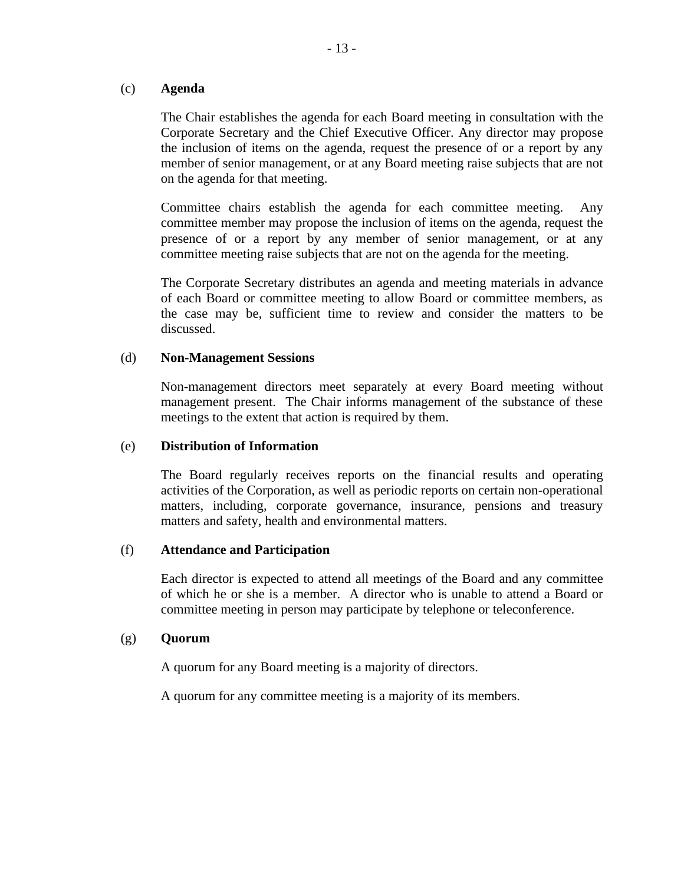## (c) **Agenda**

The Chair establishes the agenda for each Board meeting in consultation with the Corporate Secretary and the Chief Executive Officer. Any director may propose the inclusion of items on the agenda, request the presence of or a report by any member of senior management, or at any Board meeting raise subjects that are not on the agenda for that meeting.

Committee chairs establish the agenda for each committee meeting. Any committee member may propose the inclusion of items on the agenda, request the presence of or a report by any member of senior management, or at any committee meeting raise subjects that are not on the agenda for the meeting.

The Corporate Secretary distributes an agenda and meeting materials in advance of each Board or committee meeting to allow Board or committee members, as the case may be, sufficient time to review and consider the matters to be discussed.

### (d) **Non-Management Sessions**

Non-management directors meet separately at every Board meeting without management present. The Chair informs management of the substance of these meetings to the extent that action is required by them.

#### (e) **Distribution of Information**

The Board regularly receives reports on the financial results and operating activities of the Corporation, as well as periodic reports on certain non-operational matters, including, corporate governance, insurance, pensions and treasury matters and safety, health and environmental matters.

#### (f) **Attendance and Participation**

Each director is expected to attend all meetings of the Board and any committee of which he or she is a member. A director who is unable to attend a Board or committee meeting in person may participate by telephone or teleconference.

#### (g) **Quorum**

A quorum for any Board meeting is a majority of directors.

A quorum for any committee meeting is a majority of its members.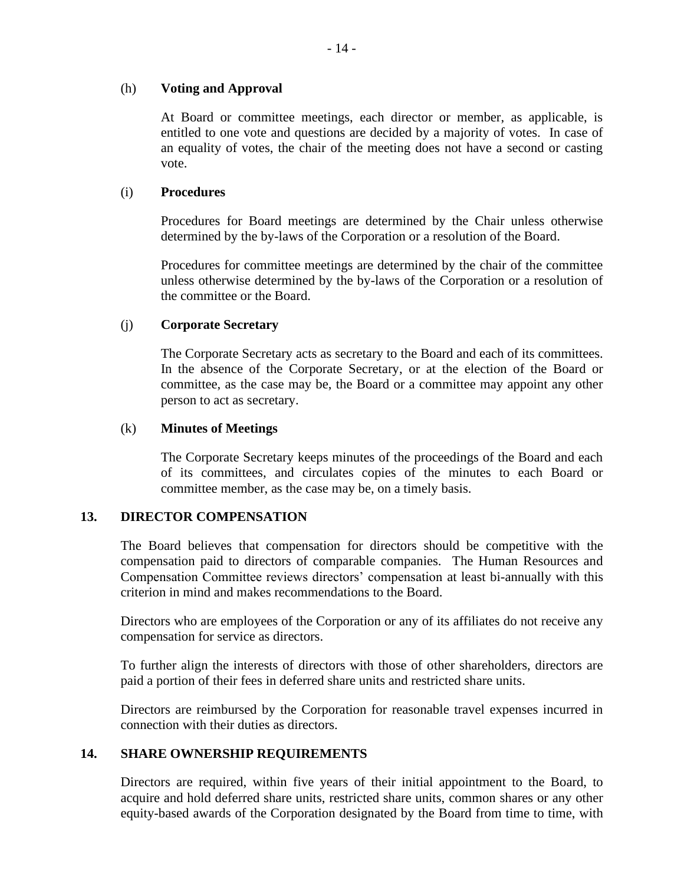### (h) **Voting and Approval**

At Board or committee meetings, each director or member, as applicable, is entitled to one vote and questions are decided by a majority of votes. In case of an equality of votes, the chair of the meeting does not have a second or casting vote.

## (i) **Procedures**

Procedures for Board meetings are determined by the Chair unless otherwise determined by the by-laws of the Corporation or a resolution of the Board.

Procedures for committee meetings are determined by the chair of the committee unless otherwise determined by the by-laws of the Corporation or a resolution of the committee or the Board.

## (j) **Corporate Secretary**

The Corporate Secretary acts as secretary to the Board and each of its committees. In the absence of the Corporate Secretary, or at the election of the Board or committee, as the case may be, the Board or a committee may appoint any other person to act as secretary.

### (k) **Minutes of Meetings**

The Corporate Secretary keeps minutes of the proceedings of the Board and each of its committees, and circulates copies of the minutes to each Board or committee member, as the case may be, on a timely basis.

## **13. DIRECTOR COMPENSATION**

The Board believes that compensation for directors should be competitive with the compensation paid to directors of comparable companies. The Human Resources and Compensation Committee reviews directors' compensation at least bi-annually with this criterion in mind and makes recommendations to the Board.

Directors who are employees of the Corporation or any of its affiliates do not receive any compensation for service as directors.

To further align the interests of directors with those of other shareholders, directors are paid a portion of their fees in deferred share units and restricted share units.

Directors are reimbursed by the Corporation for reasonable travel expenses incurred in connection with their duties as directors.

## **14. SHARE OWNERSHIP REQUIREMENTS**

Directors are required, within five years of their initial appointment to the Board, to acquire and hold deferred share units, restricted share units, common shares or any other equity-based awards of the Corporation designated by the Board from time to time, with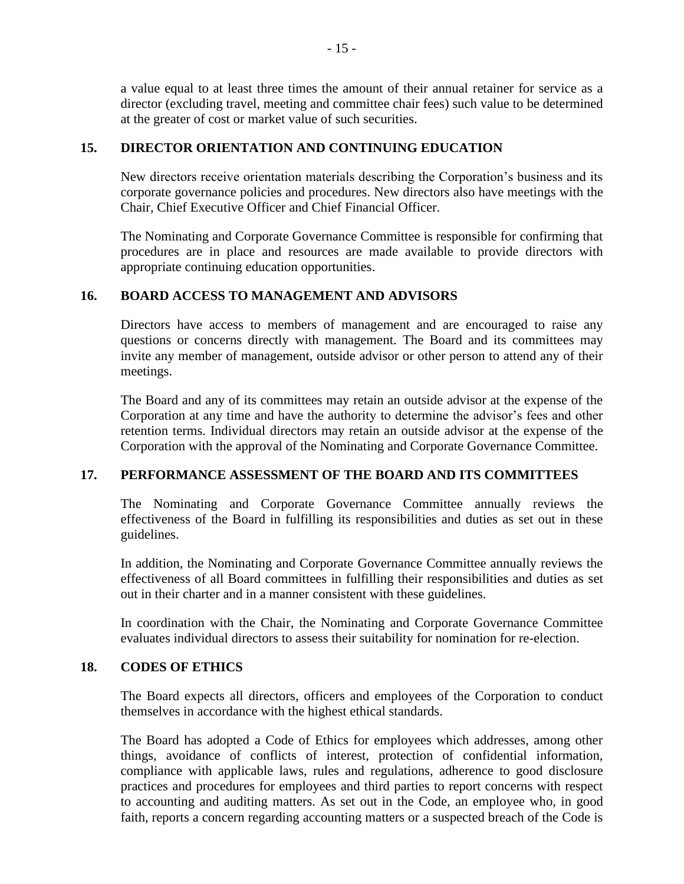a value equal to at least three times the amount of their annual retainer for service as a director (excluding travel, meeting and committee chair fees) such value to be determined at the greater of cost or market value of such securities.

## **15. DIRECTOR ORIENTATION AND CONTINUING EDUCATION**

New directors receive orientation materials describing the Corporation's business and its corporate governance policies and procedures. New directors also have meetings with the Chair, Chief Executive Officer and Chief Financial Officer.

The Nominating and Corporate Governance Committee is responsible for confirming that procedures are in place and resources are made available to provide directors with appropriate continuing education opportunities.

## **16. BOARD ACCESS TO MANAGEMENT AND ADVISORS**

Directors have access to members of management and are encouraged to raise any questions or concerns directly with management. The Board and its committees may invite any member of management, outside advisor or other person to attend any of their meetings.

The Board and any of its committees may retain an outside advisor at the expense of the Corporation at any time and have the authority to determine the advisor's fees and other retention terms. Individual directors may retain an outside advisor at the expense of the Corporation with the approval of the Nominating and Corporate Governance Committee.

## **17. PERFORMANCE ASSESSMENT OF THE BOARD AND ITS COMMITTEES**

The Nominating and Corporate Governance Committee annually reviews the effectiveness of the Board in fulfilling its responsibilities and duties as set out in these guidelines.

In addition, the Nominating and Corporate Governance Committee annually reviews the effectiveness of all Board committees in fulfilling their responsibilities and duties as set out in their charter and in a manner consistent with these guidelines.

In coordination with the Chair, the Nominating and Corporate Governance Committee evaluates individual directors to assess their suitability for nomination for re-election.

## **18. CODES OF ETHICS**

The Board expects all directors, officers and employees of the Corporation to conduct themselves in accordance with the highest ethical standards.

The Board has adopted a Code of Ethics for employees which addresses, among other things, avoidance of conflicts of interest, protection of confidential information, compliance with applicable laws, rules and regulations, adherence to good disclosure practices and procedures for employees and third parties to report concerns with respect to accounting and auditing matters. As set out in the Code, an employee who, in good faith, reports a concern regarding accounting matters or a suspected breach of the Code is